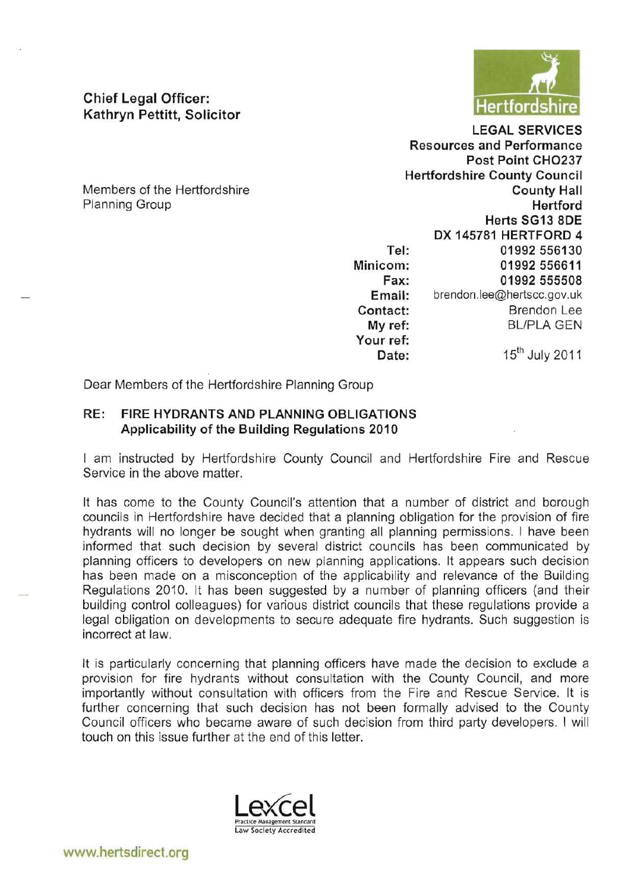

**Chief Legal Officer: Kathryn Pettitt, Solicitor** 

Members of the Hertfordshire Planning Group

**LEGAL SERVICES Resources and Performance** Post Point CHO237 **Hertfordshire County Council County Hall** Hertford Herts SG13 8DE DX 145781 HERTFORD 4 **Tel:**  01992 556130 **Minicom:**  01992 556611 **Fax:**  01992 555508 brendon.lee@hertscc.gov.uk **Email: Contact: Brendon Lee BL/PLA GEN My ref: Your ref: Date:** 15<sup>th</sup> July 2011

Dear Members of the Hertfordshire Planning Group

## **RE: FIRE HYDRANTS AND PLANNING OBLIGATIONS Applicability of the Building Regulations 2010**

I am instructed by Hertfordshire County Council and Hertfordshire Fire and Rescue Service in the above matter.

It has come to the County Council's attention that a number of district and borough councils in Hertfordshire have decided that a planning obligation for the provision of fire hydrants will no longer be sought when granting all planning permissions. I have been informed that such decision by several district councils has been communicated by planning officers to developers on new planning applications. It appears such decision has been made on a misconception of the applicability and relevance of the Building Regulations 2010. It has been suggested by a number of planning officers (and their building control colleagues) for various district councils that these regulations provide a legal obligation on developments to secure adequate fire hydrants. Such suggestion is incorrect at law.

It is particularly concerning that planning officers have made the decision to exclude a provision for fire hydrants without consultation with the County Council, and more importantly without consultation with officers from the Fire and Rescue Service. It is further concerning that such decision has not been formally advised to the County Council officers who became aware of such decision from third party developers . I will touch on this issue further at the end of this letter.

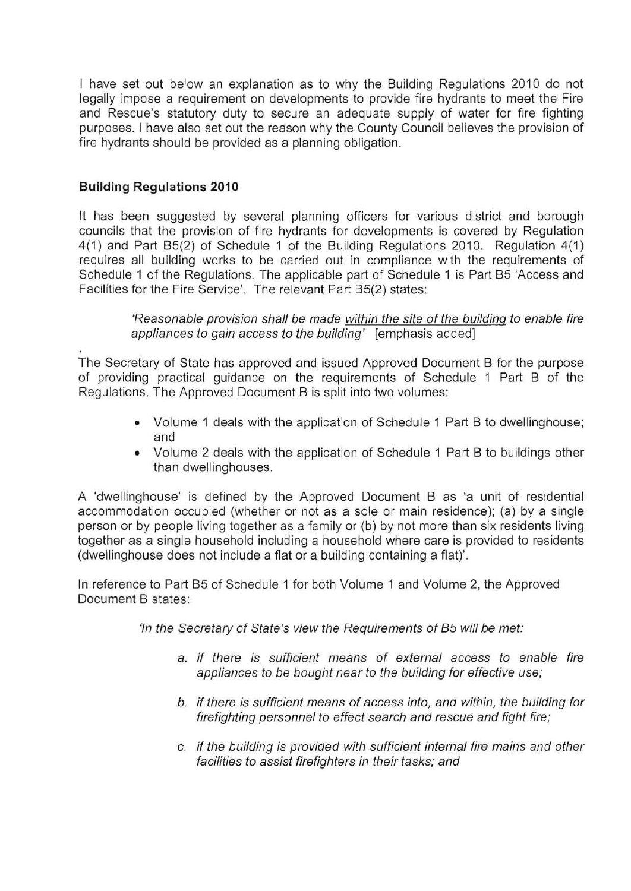I have set out below an explanation as to why the Building Regulations 2010 do not legally impose a requirement on developments to provide fire hydrants to meet the Fire and Rescue's statutory duty to secure an adequate supply of water for fire fighting purposes. I have also set out the reason why the County Council believes the provision of fire hydrants should be provided as a planning obligation.

## **Building Regulations 2010**

It has been suggested by several planning officers for various district and borough councils that the provision of fire hydrants for developments is covered by Regulation 4(1) and Part B5(2) of Schedule 1 of the Building Regulations 2010. Regulation 4(1) requires all building works to be carried out in compliance with the requirements of Schedule 1 of the Regulations. The applicable part of Schedule 1 is Part B5 'Access and Facilities for the Fire Service'. The relevant Part B5(2) states:

> 'Reasonable provision shall be made within the site of the building to enable fire appliances to gain access to the building' [emphasis added]

The Secretary of State has approved and issued Approved Document B for the purpose of providing practical guidance on the requirements of Schedule 1 Part B of the Regulations. The Approved Document B is split into two volumes:

- Volume 1 deals with the application of Schedule 1 Part B to dwellinghouse; and
- Volume 2 deals with the application of Schedule 1 Part B to buildings other than dwellinghouses.

A 'dwellinghouse' is defined by the Approved Document B as 'a unit of residential accommodation occupied (whether or not as a sole or main residence); (a) by a single person or by people living together as a family or (b) by not more than six residents living together as a single household including a household where care is provided to residents (dwellinghouse does not include a flat or a building containing a flat)'.

In reference to Part B5 of Schedule 1 for both Volume 1 and Volume 2, the Approved Document B states:

'In the Secretary of State's view the Requirements of 85 will be met:

- a. if there is sufficient means of external access to enable fire appliances to be bought near to the building for effective use;
- b. if there is sufficient means of access into, and within, the building for firefighting personnel to effect search and rescue and fight fire;
- c. if the building is provided with sufficient internal fire mains and other facilities to assist firefighters in their tasks; and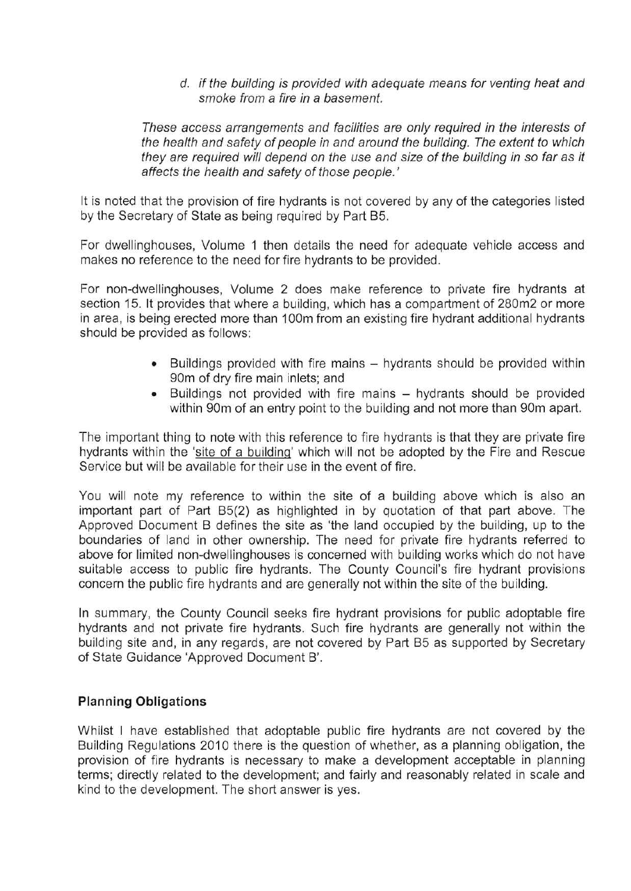d. if the building is provided with adequate means for venting heat and smoke from a fire in a basement.

These access arrangements and facilities are only required in the interests of the health and safety of people in and around the building. The extent to which they are required will depend on the use and size of the building in so far as it affects the health and safety of those people.'

It is noted that the provision of fire hydrants is not covered by any of the categories listed by the Secretary of State as being required by Part B5.

For dwellinghouses, Volume 1 then details the need for adequate vehicle access and makes no reference to the need for fire hydrants to be provided.

For non-dwellinghouses, Volume 2 does make reference to private fire hydrants at section 15. It provides that where a building, which has a compartment of 280m2 or more in area, is being erected more than 100m from an existing fire hydrant additional hydrants should be provided as follows:

- Buildings provided with fire mains hydrants should be provided within gOm of dry fire main inlets; and
- Buildings not provided with fire mains hydrants should be provided within 90m of an entry point to the building and not more than 90m apart.

The important thing to note with this reference to fire hydrants is that they are private fire hydrants within the 'site of a building' which will not be adopted by the Fire and Rescue Service but will be available for their use in the event of fire.

You will note my reference to within the site of a building above which is also an important part of Part B5(2) as highlighted in by quotation of that part above. The Approved Document B defines the site as 'the land occupied by the building, up to the boundaries of land in other ownership. The need for private fire hydrants referred to above for limited non-dwellinghouses is concerned with building works which do not have suitable access to public fire hydrants. The County Council's fire hydrant provisions concern the public fire hydrants and are generally not within the site of the building.

In summary, the County Council seeks fire hydrant provisions for public adoptable fire hydrants and not private fire hydrants. Such fire hydrants are generally not within the building site and, in any regards, are not covered by Part B5 as supported by Secretary of State Guidance 'Approved Document B'.

## **Planning Obligations**

Whilst I have established that adoptable public fire hydrants are not covered by the Building Regulations 2010 there is the question of whether, as a planning obligation, the provision of fire hydrants is necessary to make a development acceptable in planning terms; directly related to the development; and fairly and reasonably related in scale and kind to the development. The short answer is yes.